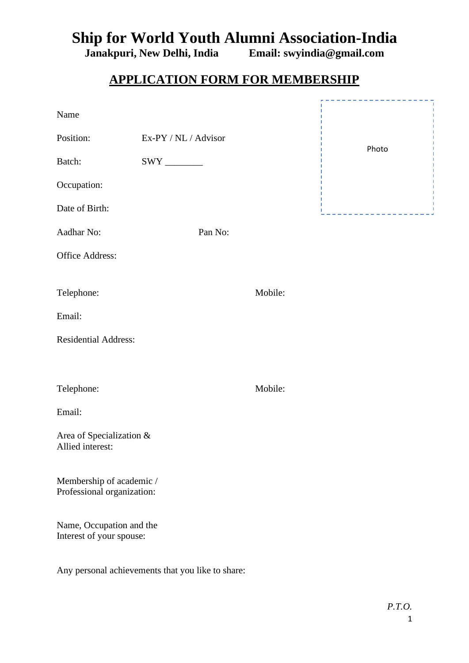## **Ship for World Youth Alumni Association-India**<br>Janakpuri, New Delhi, India Email: swyindia@gmail.com

**Janakpuri, New Delhi, India Email: swyindia@gmail.com**

## **APPLICATION FORM FOR MEMBERSHIP**

| Name                                                   |                      |         |       |
|--------------------------------------------------------|----------------------|---------|-------|
| Position:                                              | Ex-PY / NL / Advisor |         | Photo |
| Batch:                                                 |                      |         |       |
| Occupation:                                            |                      |         |       |
| Date of Birth:                                         |                      |         |       |
| Aadhar No:                                             | Pan No:              |         |       |
| Office Address:                                        |                      |         |       |
| Telephone:                                             |                      | Mobile: |       |
| Email:                                                 |                      |         |       |
| <b>Residential Address:</b>                            |                      |         |       |
|                                                        |                      |         |       |
| Telephone:                                             |                      | Mobile: |       |
| Email:                                                 |                      |         |       |
| Area of Specialization &<br>Allied interest:           |                      |         |       |
| Membership of academic /<br>Professional organization: |                      |         |       |
| Name, Occupation and the<br>Interest of your spouse:   |                      |         |       |

Any personal achievements that you like to share: